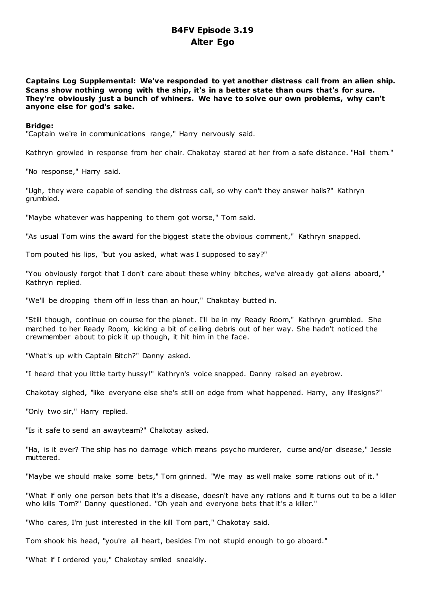# **B4FV Episode 3.19 Alter Ego**

**Captains Log Supplemental: We've responded to yet another distress call from an alien ship. Scans show nothing wrong with the ship, it's in a better state than ours that's for sure. They're obviously just a bunch of whiners. We have to solve our own problems, why can't anyone else for god's sake.**

### **Bridge:**

"Captain we're in communications range," Harry nervously said.

Kathryn growled in response from her chair. Chakotay stared at her from a safe distance. "Hail them."

"No response," Harry said.

"Ugh, they were capable of sending the distress call, so why can't they answer hails?" Kathryn grumbled.

"Maybe whatever was happening to them got worse," Tom said.

"As usual Tom wins the award for the biggest state the obvious comment," Kathryn snapped.

Tom pouted his lips, "but you asked, what was I supposed to say?"

"You obviously forgot that I don't care about these whiny bitches, we've already got aliens aboard," Kathryn replied.

"We'll be dropping them off in less than an hour," Chakotay butted in.

"Still though, continue on course for the planet. I'll be in my Ready Room," Kathryn grumbled. She marched to her Ready Room, kicking a bit of ceiling debris out of her way. She hadn't noticed the crewmember about to pick it up though, it hit him in the face.

"What's up with Captain Bitch?" Danny asked.

"I heard that you little tarty hussy!" Kathryn's voice snapped. Danny raised an eyebrow.

Chakotay sighed, "like everyone else she's still on edge from what happened. Harry, any lifesigns?"

"Only two sir," Harry replied.

"Is it safe to send an awayteam?" Chakotay asked.

"Ha, is it ever? The ship has no damage which means psycho murderer, curse and/or disease," Jessie muttered.

"Maybe we should make some bets," Tom grinned. "We may as well make some rations out of it."

"What if only one person bets that it's a disease, doesn't have any rations and it turns out to be a killer who kills Tom?" Danny questioned. "Oh yeah and everyone bets that it's a killer."

"Who cares, I'm just interested in the kill Tom part," Chakotay said.

Tom shook his head, "you're all heart, besides I'm not stupid enough to go aboard."

"What if I ordered you," Chakotay smiled sneakily.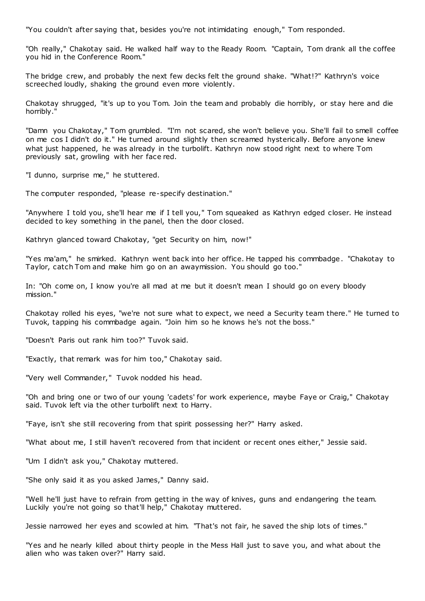"You couldn't after saying that, besides you're not intimidating enough," Tom responded.

"Oh really," Chakotay said. He walked half way to the Ready Room. "Captain, Tom drank all the coffee you hid in the Conference Room."

The bridge crew, and probably the next few decks felt the ground shake. "What!?" Kathryn's voice screeched loudly, shaking the ground even more violently.

Chakotay shrugged, "it's up to you Tom. Join the team and probably die horribly, or stay here and die horribly."

"Damn you Chakotay," Tom grumbled. "I'm not scared, she won't believe you. She'll fail to smell coffee on me cos I didn't do it." He turned around slightly then screamed hysterically. Before anyone knew what just happened, he was already in the turbolift. Kathryn now stood right next to where Tom previously sat, growling with her face red.

"I dunno, surprise me," he stuttered.

The computer responded, "please re-specify destination."

"Anywhere I told you, she'll hear me if I tell you," Tom squeaked as Kathryn edged closer. He instead decided to key something in the panel, then the door closed.

Kathryn glanced toward Chakotay, "get Security on him, now!"

"Yes ma'am," he smirked. Kathryn went back into her office. He tapped his commbadge. "Chakotay to Taylor, catch Tom and make him go on an awaymission. You should go too."

In: "Oh come on, I know you're all mad at me but it doesn't mean I should go on every bloody mission."

Chakotay rolled his eyes, "we're not sure what to expect, we need a Security team there." He turned to Tuvok, tapping his commbadge again. "Join him so he knows he's not the boss."

"Doesn't Paris out rank him too?" Tuvok said.

"Exactly, that remark was for him too," Chakotay said.

"Very well Commander," Tuvok nodded his head.

"Oh and bring one or two of our young 'cadets' for work experience, maybe Faye or Craig," Chakotay said. Tuvok left via the other turbolift next to Harry.

"Faye, isn't she still recovering from that spirit possessing her?" Harry asked.

"What about me, I still haven't recovered from that incident or recent ones either," Jessie said.

"Um I didn't ask you," Chakotay muttered.

"She only said it as you asked James," Danny said.

"Well he'll just have to refrain from getting in the way of knives, guns and endangering the team. Luckily you're not going so that'll help," Chakotay muttered.

Jessie narrowed her eyes and scowled at him. "That's not fair, he saved the ship lots of times."

"Yes and he nearly killed about thirty people in the Mess Hall just to save you, and what about the alien who was taken over?" Harry said.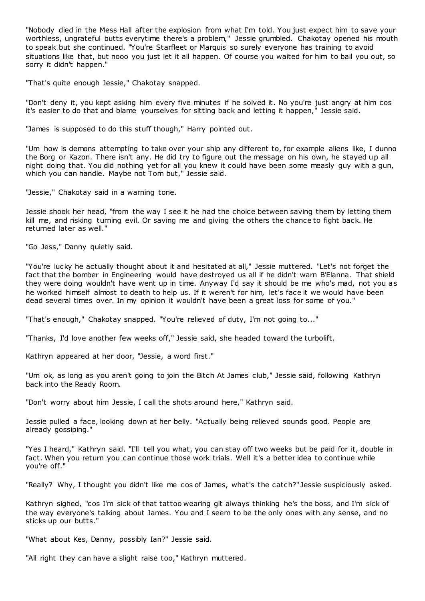"Nobody died in the Mess Hall after the explosion from what I'm told. You just expect him to save your worthless, ungrateful butts everytime there's a problem," Jessie grumbled. Chakotay opened his mouth to speak but she continued. "You're Starfleet or Marquis so surely everyone has training to avoid situations like that, but nooo you just let it all happen. Of course you waited for him to bail you out, so sorry it didn't happen."

"That's quite enough Jessie," Chakotay snapped.

"Don't deny it, you kept asking him every five minutes if he solved it. No you're just angry at him cos it's easier to do that and blame yourselves for sitting back and letting it happen," Jessie said.

"James is supposed to do this stuff though," Harry pointed out.

"Um how is demons attempting to take over your ship any different to, for example aliens like, I dunno the Borg or Kazon. There isn't any. He did try to figure out the message on his own, he stayed up all night doing that. You did nothing yet for all you knew it could have been some measly guy with a gun, which you can handle. Maybe not Tom but," Jessie said.

"Jessie," Chakotay said in a warning tone.

Jessie shook her head, "from the way I see it he had the choice between saving them by letting them kill me, and risking turning evil. Or saving me and giving the others the chance to fight back. He returned later as well."

"Go Jess," Danny quietly said.

"You're lucky he actually thought about it and hesitated at all," Jessie muttered. "Let's not forget the fact that the bomber in Engineering would have destroyed us all if he didn't warn B'Elanna. That shield they were doing wouldn't have went up in time. Anyway I'd say it should be me who's mad, not you as he worked himself almost to death to help us. If it weren't for him, let's face it we would have been dead several times over. In my opinion it wouldn't have been a great loss for some of you."

"That's enough," Chakotay snapped. "You're relieved of duty, I'm not going to..."

"Thanks, I'd love another few weeks off," Jessie said, she headed toward the turbolift.

Kathryn appeared at her door, "Jessie, a word first."

"Um ok, as long as you aren't going to join the Bitch At James club," Jessie said, following Kathryn back into the Ready Room.

"Don't worry about him Jessie, I call the shots around here," Kathryn said.

Jessie pulled a face, looking down at her belly. "Actually being relieved sounds good. People are already gossiping."

"Yes I heard," Kathryn said. "I'll tell you what, you can stay off two weeks but be paid for it, double in fact. When you return you can continue those work trials. Well it's a better idea to continue while you're off."

"Really? Why, I thought you didn't like me cos of James, what's the catch?" Jessie suspiciously asked.

Kathryn sighed, "cos I'm sick of that tattoo wearing git always thinking he's the boss, and I'm sick of the way everyone's talking about James. You and I seem to be the only ones with any sense, and no sticks up our butts."

"What about Kes, Danny, possibly Ian?" Jessie said.

"All right they can have a slight raise too," Kathryn muttered.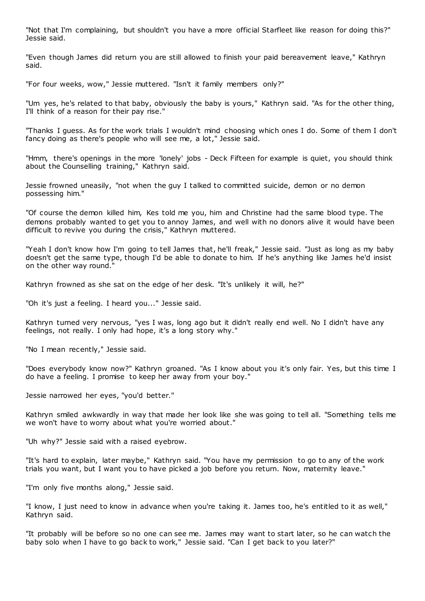"Not that I'm complaining, but shouldn't you have a more official Starfleet like reason for doing this?" Jessie said.

"Even though James did return you are still allowed to finish your paid bereavement leave," Kathryn said.

"For four weeks, wow," Jessie muttered. "Isn't it family members only?"

"Um yes, he's related to that baby, obviously the baby is yours," Kathryn said. "As for the other thing, I'll think of a reason for their pay rise."

"Thanks I guess. As for the work trials I wouldn't mind choosing which ones I do. Some of them I don't fancy doing as there's people who will see me, a lot," Jessie said.

"Hmm, there's openings in the more 'lonely' jobs - Deck Fifteen for example is quiet, you should think about the Counselling training," Kathryn said.

Jessie frowned uneasily, "not when the guy I talked to committed suicide, demon or no demon possessing him."

"Of course the demon killed him, Kes told me you, him and Christine had the same blood type. The demons probably wanted to get you to annoy James, and well with no donors alive it would have been difficult to revive you during the crisis," Kathryn muttered.

"Yeah I don't know how I'm going to tell James that, he'll freak," Jessie said. "Just as long as my baby doesn't get the same type, though I'd be able to donate to him. If he's anything like James he'd insist on the other way round."

Kathryn frowned as she sat on the edge of her desk. "It's unlikely it will, he?"

"Oh it's just a feeling. I heard you..." Jessie said.

Kathryn turned very nervous, "yes I was, long ago but it didn't really end well. No I didn't have any feelings, not really. I only had hope, it's a long story why."

"No I mean recently," Jessie said.

"Does everybody know now?" Kathryn groaned. "As I know about you it's only fair. Yes, but this time I do have a feeling. I promise to keep her away from your boy."

Jessie narrowed her eyes, "you'd better."

Kathryn smiled awkwardly in way that made her look like she was going to tell all. "Something tells me we won't have to worry about what you're worried about."

"Uh why?" Jessie said with a raised eyebrow.

"It's hard to explain, later maybe," Kathryn said. "You have my permission to go to any of the work trials you want, but I want you to have picked a job before you return. Now, maternity leave."

"I'm only five months along," Jessie said.

"I know, I just need to know in advance when you're taking it. James too, he's entitled to it as well," Kathryn said.

"It probably will be before so no one can see me. James may want to start later, so he can watch the baby solo when I have to go back to work," Jessie said. "Can I get back to you later?"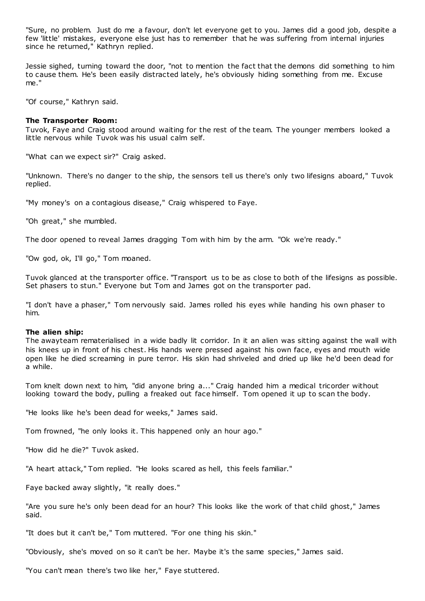"Sure, no problem. Just do me a favour, don't let everyone get to you. James did a good job, despite a few 'little' mistakes, everyone else just has to remember that he was suffering from internal injuries since he returned," Kathryn replied.

Jessie sighed, turning toward the door, "not to mention the fact that the demons did something to him to cause them. He's been easily distracted lately, he's obviously hiding something from me. Excuse me."

"Of course," Kathryn said.

### **The Transporter Room:**

Tuvok, Faye and Craig stood around waiting for the rest of the team. The younger members looked a little nervous while Tuvok was his usual calm self.

"What can we expect sir?" Craig asked.

"Unknown. There's no danger to the ship, the sensors tell us there's only two lifesigns aboard," Tuvok replied.

"My money's on a contagious disease," Craig whispered to Faye.

"Oh great," she mumbled.

The door opened to reveal James dragging Tom with him by the arm. "Ok we're ready."

"Ow god, ok, I'll go," Tom moaned.

Tuvok glanced at the transporter office. "Transport us to be as close to both of the lifesigns as possible. Set phasers to stun." Everyone but Tom and James got on the transporter pad.

"I don't have a phaser," Tom nervously said. James rolled his eyes while handing his own phaser to him.

### **The alien ship:**

The awayteam rematerialised in a wide badly lit corridor. In it an alien was sitting against the wall with his knees up in front of his chest. His hands were pressed against his own face, eyes and mouth wide open like he died screaming in pure terror. His skin had shriveled and dried up like he'd been dead for a while.

Tom knelt down next to him, "did anyone bring a..." Craig handed him a medical tricorder without looking toward the body, pulling a freaked out face himself. Tom opened it up to scan the body.

"He looks like he's been dead for weeks," James said.

Tom frowned, "he only looks it. This happened only an hour ago."

"How did he die?" Tuvok asked.

"A heart attack," Tom replied. "He looks scared as hell, this feels familiar."

Faye backed away slightly, "it really does."

"Are you sure he's only been dead for an hour? This looks like the work of that child ghost," James said.

"It does but it can't be," Tom muttered. "For one thing his skin."

"Obviously, she's moved on so it can't be her. Maybe it's the same species," James said.

"You can't mean there's two like her," Faye stuttered.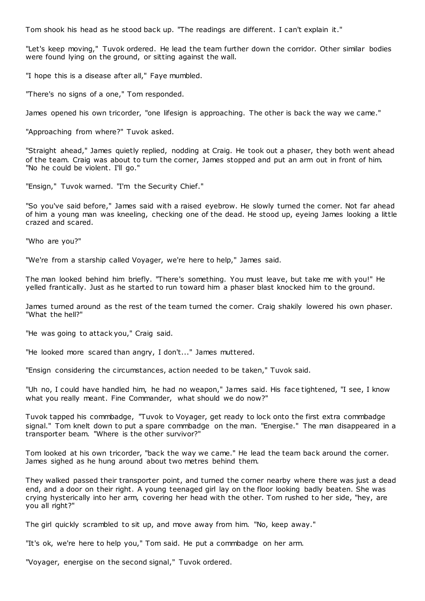Tom shook his head as he stood back up. "The readings are different. I can't explain it."

"Let's keep moving," Tuvok ordered. He lead the team further down the corridor. Other similar bodies were found lying on the ground, or sitting against the wall.

"I hope this is a disease after all," Faye mumbled.

"There's no signs of a one," Tom responded.

James opened his own tricorder, "one lifesign is approaching. The other is back the way we came."

"Approaching from where?" Tuvok asked.

"Straight ahead," James quietly replied, nodding at Craig. He took out a phaser, they both went ahead of the team. Craig was about to turn the corner, James stopped and put an arm out in front of him. "No he could be violent. I'll go."

"Ensign," Tuvok warned. "I'm the Security Chief."

"So you've said before," James said with a raised eyebrow. He slowly turned the corner. Not far ahead of him a young man was kneeling, checking one of the dead. He stood up, eyeing James looking a little crazed and scared.

"Who are you?"

"We're from a starship called Voyager, we're here to help," James said.

The man looked behind him briefly. "There's something. You must leave, but take me with you!" He yelled frantically. Just as he started to run toward him a phaser blast knocked him to the ground.

James turned around as the rest of the team turned the corner. Craig shakily lowered his own phaser. "What the hell?"

"He was going to attack you," Craig said.

"He looked more scared than angry, I don't..." James muttered.

"Ensign considering the circumstances, action needed to be taken," Tuvok said.

"Uh no, I could have handled him, he had no weapon," James said. His face tightened, "I see, I know what you really meant. Fine Commander, what should we do now?"

Tuvok tapped his commbadge, "Tuvok to Voyager, get ready to lock onto the first extra commbadge signal." Tom knelt down to put a spare commbadge on the man. "Energise." The man disappeared in a transporter beam. "Where is the other survivor?"

Tom looked at his own tricorder, "back the way we came." He lead the team back around the corner. James sighed as he hung around about two metres behind them.

They walked passed their transporter point, and turned the corner nearby where there was just a dead end, and a door on their right. A young teenaged girl lay on the floor looking badly beaten. She was crying hysterically into her arm, covering her head with the other. Tom rushed to her side, "hey, are you all right?"

The girl quickly scrambled to sit up, and move away from him. "No, keep away."

"It's ok, we're here to help you," Tom said. He put a commbadge on her arm.

"Voyager, energise on the second signal," Tuvok ordered.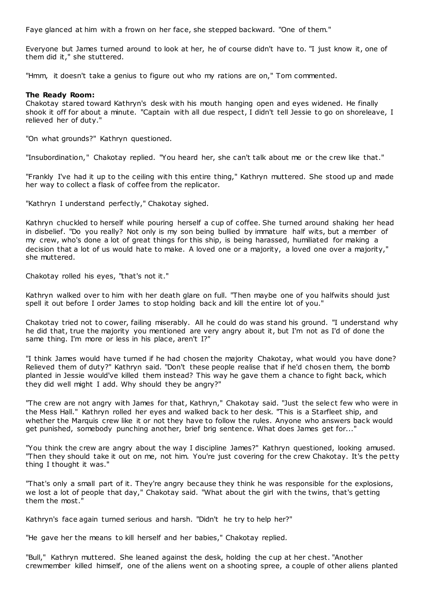Faye glanced at him with a frown on her face, she stepped backward. "One of them."

Everyone but James turned around to look at her, he of course didn't have to. "I just know it, one of them did it," she stuttered.

"Hmm, it doesn't take a genius to figure out who my rations are on," Tom commented.

# **The Ready Room:**

Chakotay stared toward Kathryn's desk with his mouth hanging open and eyes widened. He finally shook it off for about a minute. "Captain with all due respect, I didn't tell Jessie to go on shoreleave, I relieved her of duty."

"On what grounds?" Kathryn questioned.

"Insubordination," Chakotay replied. "You heard her, she can't talk about me or the crew like that."

"Frankly I've had it up to the ceiling with this entire thing," Kathryn muttered. She stood up and made her way to collect a flask of coffee from the replicator.

"Kathryn I understand perfectly," Chakotay sighed.

Kathryn chuckled to herself while pouring herself a cup of coffee. She turned around shaking her head in disbelief. "Do you really? Not only is my son being bullied by immature half wits, but a member of my crew, who's done a lot of great things for this ship, is being harassed, humiliated for making a decision that a lot of us would hate to make. A loved one or a majority, a loved one over a majority," she muttered.

Chakotay rolled his eyes, "that's not it."

Kathryn walked over to him with her death glare on full. "Then maybe one of you halfwits should just spell it out before I order James to stop holding back and kill the entire lot of you."

Chakotay tried not to cower, failing miserably. All he could do was stand his ground. "I understand why he did that, true the majority you mentioned are very angry about it, but I'm not as I'd of done the same thing. I'm more or less in his place, aren't I?"

"I think James would have turned if he had chosen the majority Chakotay, what would you have done? Relieved them of duty?" Kathryn said. "Don't these people realise that if he'd chosen them, the bomb planted in Jessie would've killed them instead? This way he gave them a chance to fight back, which they did well might I add. Why should they be angry?"

"The crew are not angry with James for that, Kathryn," Chakotay said. "Just the select few who were in the Mess Hall." Kathryn rolled her eyes and walked back to her desk. "This is a Starfleet ship, and whether the Marquis crew like it or not they have to follow the rules. Anyone who answers back would get punished, somebody punching another, brief brig sentence. What does James get for..."

"You think the crew are angry about the way I discipline James?" Kathryn questioned, looking amused. "Then they should take it out on me, not him. You're just covering for the crew Chakotay. It's the petty thing I thought it was."

"That's only a small part of it. They're angry because they think he was responsible for the explosions, we lost a lot of people that day," Chakotay said. "What about the girl with the twins, that's getting them the most."

Kathryn's face again turned serious and harsh. "Didn't he try to help her?"

"He gave her the means to kill herself and her babies," Chakotay replied.

"Bull," Kathryn muttered. She leaned against the desk, holding the cup at her chest. "Another crewmember killed himself, one of the aliens went on a shooting spree, a couple of other aliens planted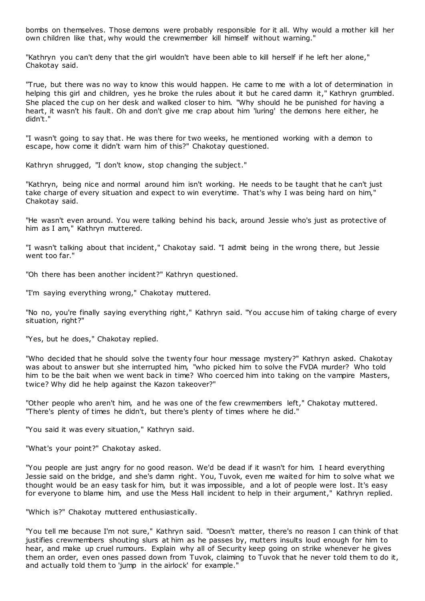bombs on themselves. Those demons were probably responsible for it all. Why would a mother kill her own children like that, why would the crewmember kill himself without warning."

"Kathryn you can't deny that the girl wouldn't have been able to kill herself if he left her alone," Chakotay said.

"True, but there was no way to know this would happen. He came to me with a lot of determination in helping this girl and children, yes he broke the rules about it but he cared damn it," Kathryn grumbled. She placed the cup on her desk and walked closer to him. "Why should he be punished for having a heart, it wasn't his fault. Oh and don't give me crap about him 'luring' the demons here either, he didn't."

"I wasn't going to say that. He was there for two weeks, he mentioned working with a demon to escape, how come it didn't warn him of this?" Chakotay questioned.

Kathryn shrugged, "I don't know, stop changing the subject."

"Kathryn, being nice and normal around him isn't working. He needs to be taught that he can't just take charge of every situation and expect to win everytime. That's why I was being hard on him," Chakotay said.

"He wasn't even around. You were talking behind his back, around Jessie who's just as protective of him as I am," Kathryn muttered.

"I wasn't talking about that incident," Chakotay said. "I admit being in the wrong there, but Jessie went too far."

"Oh there has been another incident?" Kathryn questioned.

"I'm saying everything wrong," Chakotay muttered.

"No no, you're finally saying everything right," Kathryn said. "You accuse him of taking charge of every situation, right?"

"Yes, but he does," Chakotay replied.

"Who decided that he should solve the twenty four hour message mystery?" Kathryn asked. Chakotay was about to answer but she interrupted him, "who picked him to solve the FVDA murder? Who told him to be the bait when we went back in time? Who coerced him into taking on the vampire Masters, twice? Why did he help against the Kazon takeover?"

"Other people who aren't him, and he was one of the few crewmembers left," Chakotay muttered. "There's plenty of times he didn't, but there's plenty of times where he did."

"You said it was every situation," Kathryn said.

"What's your point?" Chakotay asked.

"You people are just angry for no good reason. We'd be dead if it wasn't for him. I heard everything Jessie said on the bridge, and she's damn right. You, Tuvok, even me waited for him to solve what we thought would be an easy task for him, but it was impossible, and a lot of people were lost. It's easy for everyone to blame him, and use the Mess Hall incident to help in their argument," Kathryn replied.

"Which is?" Chakotay muttered enthusiastically.

"You tell me because I'm not sure," Kathryn said. "Doesn't matter, there's no reason I can think of that justifies crewmembers shouting slurs at him as he passes by, mutters insults loud enough for him to hear, and make up cruel rumours. Explain why all of Security keep going on strike whenever he gives them an order, even ones passed down from Tuvok, claiming to Tuvok that he never told them to do it, and actually told them to 'jump in the airlock' for example."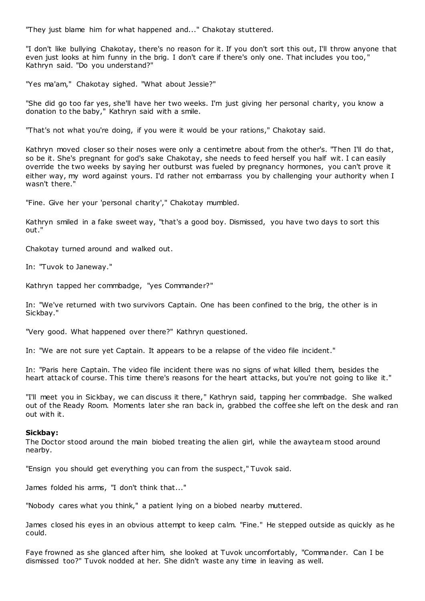"They just blame him for what happened and..." Chakotay stuttered.

"I don't like bullying Chakotay, there's no reason for it. If you don't sort this out, I'll throw anyone that even just looks at him funny in the brig. I don't care if there's only one. That includes you too, " Kathryn said. "Do you understand?"

"Yes ma'am," Chakotay sighed. "What about Jessie?"

"She did go too far yes, she'll have her two weeks. I'm just giving her personal charity, you know a donation to the baby," Kathryn said with a smile.

"That's not what you're doing, if you were it would be your rations," Chakotay said.

Kathryn moved closer so their noses were only a centimetre about from the other's. "Then I'll do that, so be it. She's pregnant for god's sake Chakotay, she needs to feed herself you half wit. I can easily override the two weeks by saying her outburst was fueled by pregnancy hormones, you can't prove it either way, my word against yours. I'd rather not embarrass you by challenging your authority when I wasn't there."

"Fine. Give her your 'personal charity'," Chakotay mumbled.

Kathryn smiled in a fake sweet way, "that's a good boy. Dismissed, you have two days to sort this out."

Chakotay turned around and walked out.

In: "Tuvok to Janeway."

Kathryn tapped her commbadge, "yes Commander?"

In: "We've returned with two survivors Captain. One has been confined to the brig, the other is in Sickbay."

"Very good. What happened over there?" Kathryn questioned.

In: "We are not sure yet Captain. It appears to be a relapse of the video file incident."

In: "Paris here Captain. The video file incident there was no signs of what killed them, besides the heart attack of course. This time there's reasons for the heart attacks, but you're not going to like it."

"I'll meet you in Sickbay, we can discuss it there," Kathryn said, tapping her commbadge. She walked out of the Ready Room. Moments later she ran back in, grabbed the coffee she left on the desk and ran out with it.

# **Sickbay:**

The Doctor stood around the main biobed treating the alien girl, while the awayteam stood around nearby.

"Ensign you should get everything you can from the suspect," Tuvok said.

James folded his arms, "I don't think that..."

"Nobody cares what you think," a patient lying on a biobed nearby muttered.

James closed his eyes in an obvious attempt to keep calm. "Fine." He stepped outside as quickly as he could.

Faye frowned as she glanced after him, she looked at Tuvok uncomfortably, "Commander. Can I be dismissed too?" Tuvok nodded at her. She didn't waste any time in leaving as well.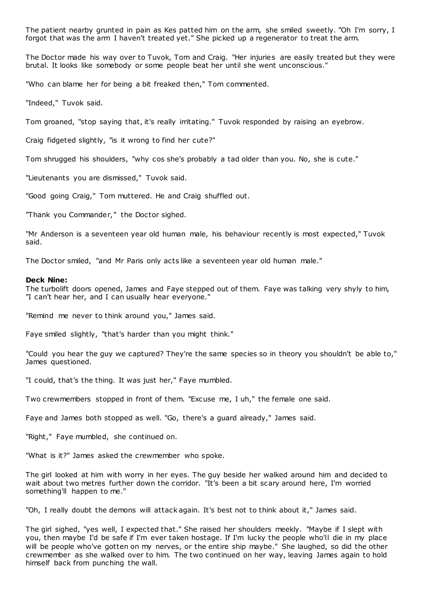The patient nearby grunted in pain as Kes patted him on the arm, she smiled sweetly. "Oh I'm sorry, I forgot that was the arm I haven't treated yet." She picked up a regenerator to treat the arm.

The Doctor made his way over to Tuvok, Tom and Craig. "Her injuries are easily treated but they were brutal. It looks like somebody or some people beat her until she went unconscious."

"Who can blame her for being a bit freaked then," Tom commented.

"Indeed," Tuvok said.

Tom groaned, "stop saying that, it's really irritating." Tuvok responded by raising an eyebrow.

Craig fidgeted slightly, "is it wrong to find her cute?"

Tom shrugged his shoulders, "why cos she's probably a tad older than you. No, she is cute."

"Lieutenants you are dismissed," Tuvok said.

"Good going Craig," Tom muttered. He and Craig shuffled out.

"Thank you Commander," the Doctor sighed.

"Mr Anderson is a seventeen year old human male, his behaviour recently is most expected," Tuvok said.

The Doctor smiled, "and Mr Paris only acts like a seventeen year old human male."

#### **Deck Nine:**

The turbolift doors opened, James and Faye stepped out of them. Faye was talking very shyly to him, "I can't hear her, and I can usually hear everyone."

"Remind me never to think around you," James said.

Faye smiled slightly, "that's harder than you might think."

"Could you hear the guy we captured? They're the same species so in theory you shouldn't be able to," James questioned.

"I could, that's the thing. It was just her," Faye mumbled.

Two crewmembers stopped in front of them. "Excuse me, I uh," the female one said.

Faye and James both stopped as well. "Go, there's a guard already," James said.

"Right," Faye mumbled, she continued on.

"What is it?" James asked the crewmember who spoke.

The girl looked at him with worry in her eyes. The guy beside her walked around him and decided to wait about two metres further down the corridor. "It's been a bit scary around here, I'm worried something'll happen to me."

"Oh, I really doubt the demons will attack again. It's best not to think about it," James said.

The girl sighed, "yes well, I expected that." She raised her shoulders meekly. "Maybe if I slept with you, then maybe I'd be safe if I'm ever taken hostage. If I'm lucky the people who'll die in my place will be people who've gotten on my nerves, or the entire ship maybe." She laughed, so did the other crewmember as she walked over to him. The two continued on her way, leaving James again to hold himself back from punching the wall.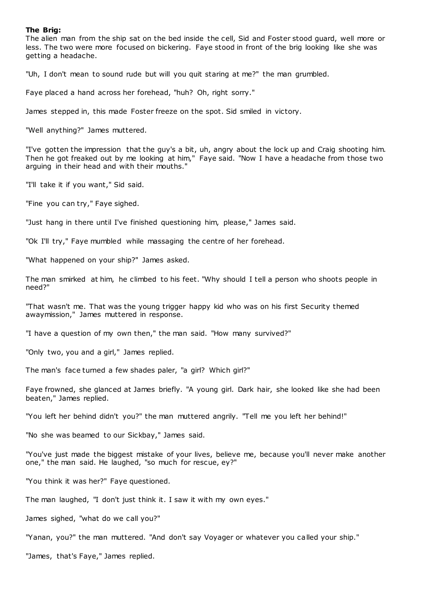### **The Brig:**

The alien man from the ship sat on the bed inside the cell, Sid and Foster stood guard, well more or less. The two were more focused on bickering. Faye stood in front of the brig looking like she was getting a headache.

"Uh, I don't mean to sound rude but will you quit staring at me?" the man grumbled.

Faye placed a hand across her forehead, "huh? Oh, right sorry."

James stepped in, this made Foster freeze on the spot. Sid smiled in victory.

"Well anything?" James muttered.

"I've gotten the impression that the guy's a bit, uh, angry about the lock up and Craig shooting him. Then he got freaked out by me looking at him," Faye said. "Now I have a headache from those two arguing in their head and with their mouths."

"I'll take it if you want," Sid said.

"Fine you can try," Faye sighed.

"Just hang in there until I've finished questioning him, please," James said.

"Ok I'll try," Faye mumbled while massaging the centre of her forehead.

"What happened on your ship?" James asked.

The man smirked at him, he climbed to his feet. "Why should I tell a person who shoots people in need?"

"That wasn't me. That was the young trigger happy kid who was on his first Security themed awaymission," James muttered in response.

"I have a question of my own then," the man said. "How many survived?"

"Only two, you and a girl," James replied.

The man's face turned a few shades paler, "a girl? Which girl?"

Faye frowned, she glanced at James briefly. "A young girl. Dark hair, she looked like she had been beaten," James replied.

"You left her behind didn't you?" the man muttered angrily. "Tell me you left her behind!"

"No she was beamed to our Sickbay," James said.

"You've just made the biggest mistake of your lives, believe me, because you'll never make another one," the man said. He laughed, "so much for rescue, ey?"

"You think it was her?" Faye questioned.

The man laughed, "I don't just think it. I saw it with my own eyes."

James sighed, "what do we call you?"

"Yanan, you?" the man muttered. "And don't say Voyager or whatever you called your ship."

"James, that's Faye," James replied.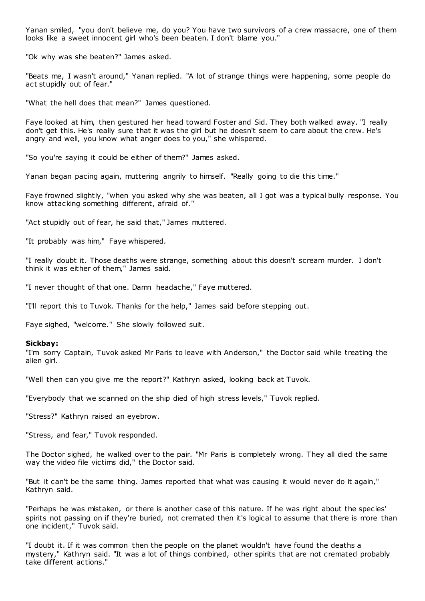Yanan smiled, "you don't believe me, do you? You have two survivors of a crew massacre, one of them looks like a sweet innocent girl who's been beaten. I don't blame you."

"Ok why was she beaten?" James asked.

"Beats me, I wasn't around," Yanan replied. "A lot of strange things were happening, some people do act stupidly out of fear."

"What the hell does that mean?" James questioned.

Faye looked at him, then gestured her head toward Foster and Sid. They both walked away. "I really don't get this. He's really sure that it was the girl but he doesn't seem to care about the crew. He's angry and well, you know what anger does to you," she whispered.

"So you're saying it could be either of them?" James asked.

Yanan began pacing again, muttering angrily to himself. "Really going to die this time."

Faye frowned slightly, "when you asked why she was beaten, all I got was a typical bully response. You know attacking something different, afraid of."

"Act stupidly out of fear, he said that," James muttered.

"It probably was him," Faye whispered.

"I really doubt it. Those deaths were strange, something about this doesn't scream murder. I don't think it was either of them," James said.

"I never thought of that one. Damn headache," Faye muttered.

"I'll report this to Tuvok. Thanks for the help," James said before stepping out.

Faye sighed, "welcome." She slowly followed suit.

#### **Sickbay:**

"I'm sorry Captain, Tuvok asked Mr Paris to leave with Anderson," the Doctor said while treating the alien girl.

"Well then can you give me the report?" Kathryn asked, looking back at Tuvok.

"Everybody that we scanned on the ship died of high stress levels," Tuvok replied.

"Stress?" Kathryn raised an eyebrow.

"Stress, and fear," Tuvok responded.

The Doctor sighed, he walked over to the pair. "Mr Paris is completely wrong. They all died the same way the video file victims did," the Doctor said.

"But it can't be the same thing. James reported that what was causing it would never do it again," Kathryn said.

"Perhaps he was mistaken, or there is another case of this nature. If he was right about the species' spirits not passing on if they're buried, not cremated then it's logical to assume that there is more than one incident," Tuvok said.

"I doubt it. If it was common then the people on the planet wouldn't have found the deaths a mystery," Kathryn said. "It was a lot of things combined, other spirits that are not cremated probably take different actions."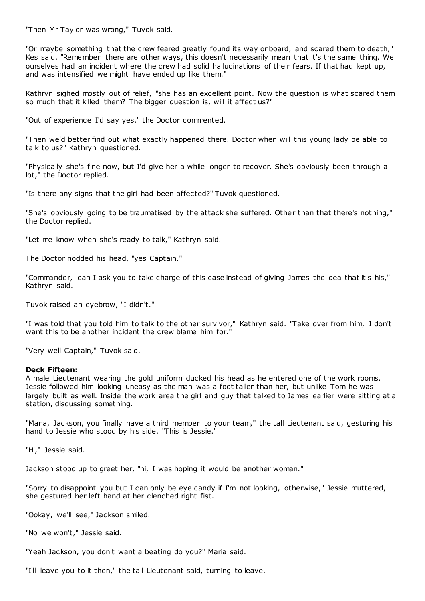"Then Mr Taylor was wrong," Tuvok said.

"Or maybe something that the crew feared greatly found its way onboard, and scared them to death," Kes said. "Remember there are other ways, this doesn't necessarily mean that it's the same thing. We ourselves had an incident where the crew had solid hallucinations of their fears. If that had kept up, and was intensified we might have ended up like them."

Kathryn sighed mostly out of relief, "she has an excellent point. Now the question is what scared them so much that it killed them? The bigger question is, will it affect us?"

"Out of experience I'd say yes," the Doctor commented.

"Then we'd better find out what exactly happened there. Doctor when will this young lady be able to talk to us?" Kathryn questioned.

"Physically she's fine now, but I'd give her a while longer to recover. She's obviously been through a lot," the Doctor replied.

"Is there any signs that the girl had been affected?" Tuvok questioned.

"She's obviously going to be traumatised by the attack she suffered. Other than that there's nothing," the Doctor replied.

"Let me know when she's ready to talk," Kathryn said.

The Doctor nodded his head, "yes Captain."

"Commander, can I ask you to take charge of this case instead of giving James the idea that it's his," Kathryn said.

Tuvok raised an eyebrow, "I didn't."

"I was told that you told him to talk to the other survivor," Kathryn said. "Take over from him, I don't want this to be another incident the crew blame him for.'

"Very well Captain," Tuvok said.

# **Deck Fifteen:**

A male Lieutenant wearing the gold uniform ducked his head as he entered one of the work rooms. Jessie followed him looking uneasy as the man was a foot taller than her, but unlike Tom he was largely built as well. Inside the work area the girl and guy that talked to James earlier were sitting at a station, discussing something.

"Maria, Jackson, you finally have a third member to your team," the tall Lieutenant said, gesturing his hand to Jessie who stood by his side. "This is Jessie."

"Hi," Jessie said.

Jackson stood up to greet her, "hi, I was hoping it would be another woman."

"Sorry to disappoint you but I can only be eye candy if I'm not looking, otherwise," Jessie muttered, she gestured her left hand at her clenched right fist.

"Ookay, we'll see," Jackson smiled.

"No we won't," Jessie said.

"Yeah Jackson, you don't want a beating do you?" Maria said.

"I'll leave you to it then," the tall Lieutenant said, turning to leave.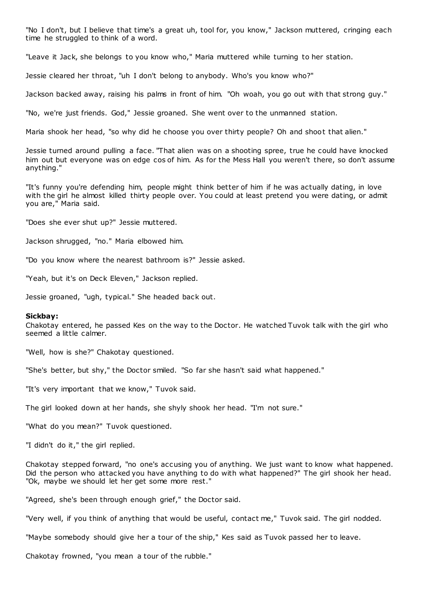"No I don't, but I believe that time's a great uh, tool for, you know," Jackson muttered, cringing each time he struggled to think of a word.

"Leave it Jack, she belongs to you know who," Maria muttered while turning to her station.

Jessie cleared her throat, "uh I don't belong to anybody. Who's you know who?"

Jackson backed away, raising his palms in front of him. "Oh woah, you go out with that strong guy."

"No, we're just friends. God," Jessie groaned. She went over to the unmanned station.

Maria shook her head, "so why did he choose you over thirty people? Oh and shoot that alien."

Jessie turned around pulling a face. "That alien was on a shooting spree, true he could have knocked him out but everyone was on edge cos of him. As for the Mess Hall you weren't there, so don't assume anything."

"It's funny you're defending him, people might think better of him if he was actually dating, in love with the girl he almost killed thirty people over. You could at least pretend you were dating, or admit you are," Maria said.

"Does she ever shut up?" Jessie muttered.

Jackson shrugged, "no." Maria elbowed him.

"Do you know where the nearest bathroom is?" Jessie asked.

"Yeah, but it's on Deck Eleven," Jackson replied.

Jessie groaned, "ugh, typical." She headed back out.

#### **Sickbay:**

Chakotay entered, he passed Kes on the way to the Doctor. He watched Tuvok talk with the girl who seemed a little calmer.

"Well, how is she?" Chakotay questioned.

"She's better, but shy," the Doctor smiled. "So far she hasn't said what happened."

"It's very important that we know," Tuvok said.

The girl looked down at her hands, she shyly shook her head. "I'm not sure."

"What do you mean?" Tuvok questioned.

"I didn't do it," the girl replied.

Chakotay stepped forward, "no one's accusing you of anything. We just want to know what happened. Did the person who attacked you have anything to do with what happened?" The girl shook her head. "Ok, maybe we should let her get some more rest."

"Agreed, she's been through enough grief," the Doctor said.

"Very well, if you think of anything that would be useful, contact me," Tuvok said. The girl nodded.

"Maybe somebody should give her a tour of the ship," Kes said as Tuvok passed her to leave.

Chakotay frowned, "you mean a tour of the rubble."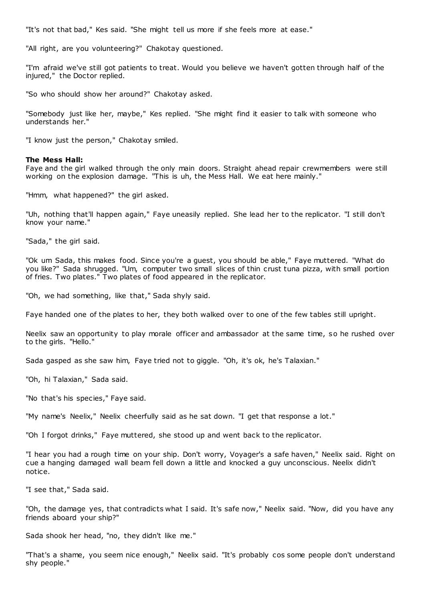"It's not that bad," Kes said. "She might tell us more if she feels more at ease."

"All right, are you volunteering?" Chakotay questioned.

"I'm afraid we've still got patients to treat. Would you believe we haven't gotten through half of the injured," the Doctor replied.

"So who should show her around?" Chakotay asked.

"Somebody just like her, maybe," Kes replied. "She might find it easier to talk with someone who understands her."

"I know just the person," Chakotay smiled.

#### **The Mess Hall:**

Faye and the girl walked through the only main doors. Straight ahead repair crewmembers were still working on the explosion damage. "This is uh, the Mess Hall. We eat here mainly."

"Hmm, what happened?" the girl asked.

"Uh, nothing that'll happen again," Faye uneasily replied. She lead her to the replicator. "I still don't know your name."

"Sada," the girl said.

"Ok um Sada, this makes food. Since you're a guest, you should be able," Faye muttered. "What do you like?" Sada shrugged. "Um, computer two small slices of thin crust tuna pizza, with small portion of fries. Two plates." Two plates of food appeared in the replicator.

"Oh, we had something, like that," Sada shyly said.

Faye handed one of the plates to her, they both walked over to one of the few tables still upright.

Neelix saw an opportunity to play morale officer and ambassador at the same time, so he rushed over to the girls. "Hello."

Sada gasped as she saw him, Faye tried not to giggle. "Oh, it's ok, he's Talaxian."

"Oh, hi Talaxian," Sada said.

"No that's his species," Faye said.

"My name's Neelix," Neelix cheerfully said as he sat down. "I get that response a lot."

"Oh I forgot drinks," Faye muttered, she stood up and went back to the replicator.

"I hear you had a rough time on your ship. Don't worry, Voyager's a safe haven," Neelix said. Right on cue a hanging damaged wall beam fell down a little and knocked a guy unconscious. Neelix didn't notice.

"I see that," Sada said.

"Oh, the damage yes, that contradicts what I said. It's safe now," Neelix said. "Now, did you have any friends aboard your ship?"

Sada shook her head, "no, they didn't like me."

"That's a shame, you seem nice enough," Neelix said. "It's probably cos some people don't understand shy people."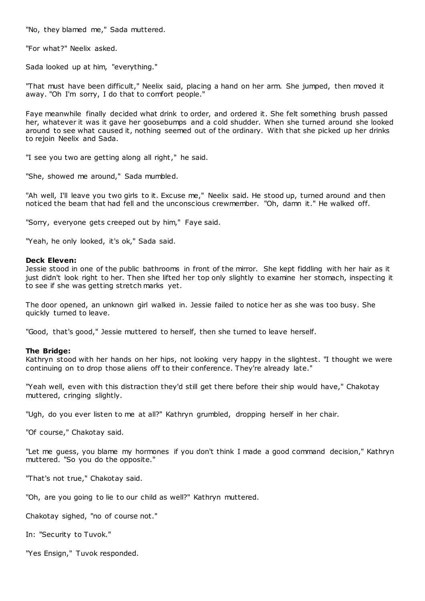"No, they blamed me," Sada muttered.

"For what?" Neelix asked.

Sada looked up at him, "everything."

"That must have been difficult," Neelix said, placing a hand on her arm. She jumped, then moved it away. "Oh I'm sorry, I do that to comfort people."

Faye meanwhile finally decided what drink to order, and ordered it. She felt something brush passed her, whatever it was it gave her goosebumps and a cold shudder. When she turned around she looked around to see what caused it, nothing seemed out of the ordinary. With that she picked up her drinks to rejoin Neelix and Sada.

"I see you two are getting along all right," he said.

"She, showed me around," Sada mumbled.

"Ah well, I'll leave you two girls to it. Excuse me," Neelix said. He stood up, turned around and then noticed the beam that had fell and the unconscious crewmember. "Oh, damn it." He walked off.

"Sorry, everyone gets creeped out by him," Faye said.

"Yeah, he only looked, it's ok," Sada said.

# **Deck Eleven:**

Jessie stood in one of the public bathrooms in front of the mirror. She kept fiddling with her hair as it just didn't look right to her. Then she lifted her top only slightly to examine her stomach, inspecting it to see if she was getting stretch marks yet.

The door opened, an unknown girl walked in. Jessie failed to notice her as she was too busy. She quickly turned to leave.

"Good, that's good," Jessie muttered to herself, then she turned to leave herself.

# **The Bridge:**

Kathryn stood with her hands on her hips, not looking very happy in the slightest. "I thought we were continuing on to drop those aliens off to their conference. They're already late."

"Yeah well, even with this distraction they'd still get there before their ship would have," Chakotay muttered, cringing slightly.

"Ugh, do you ever listen to me at all?" Kathryn grumbled, dropping herself in her chair.

"Of course," Chakotay said.

"Let me guess, you blame my hormones if you don't think I made a good command decision," Kathryn muttered. "So you do the opposite."

"That's not true," Chakotay said.

"Oh, are you going to lie to our child as well?" Kathryn muttered.

Chakotay sighed, "no of course not."

In: "Security to Tuvok."

"Yes Ensign," Tuvok responded.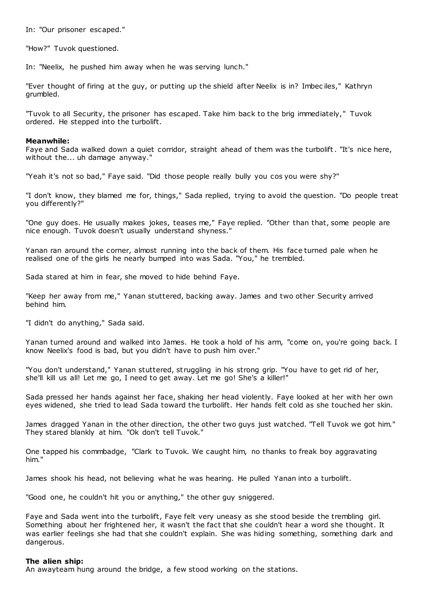In: "Our prisoner escaped."

"How?" Tuvok questioned.

In: "Neelix, he pushed him away when he was serving lunch."

"Ever thought of firing at the guy, or putting up the shield after Neelix is in? Imbec iles," Kathryn grumbled.

"Tuvok to all Security, the prisoner has escaped. Take him back to the brig immediately," Tuvok ordered. He stepped into the turbolift.

#### **Meanwhile:**

Faye and Sada walked down a quiet corridor, straight ahead of them was the turbolift. "It's nice here, without the... uh damage anyway."

"Yeah it's not so bad," Faye said. "Did those people really bully you cos you were shy?"

"I don't know, they blamed me for, things," Sada replied, trying to avoid the question. "Do people treat you differently?"

"One guy does. He usually makes jokes, teases me," Faye replied. "Other than that, some people are nice enough. Tuvok doesn't usually understand shyness."

Yanan ran around the corner, almost running into the back of them. His face turned pale when he realised one of the girls he nearly bumped into was Sada. "You," he trembled.

Sada stared at him in fear, she moved to hide behind Faye.

"Keep her away from me," Yanan stuttered, backing away. James and two other Security arrived behind him.

"I didn't do anything," Sada said.

Yanan turned around and walked into James. He took a hold of his arm, "come on, you're going back. I know Neelix's food is bad, but you didn't have to push him over."

"You don't understand," Yanan stuttered, st ruggling in his strong grip. "You have to get rid of her, she'll kill us all! Let me go, I need to get away. Let me go! She's a killer!"

Sada pressed her hands against her face, shaking her head violently. Faye looked at her with her own eyes widened, she tried to lead Sada toward the turbolift. Her hands felt cold as she touched her skin.

James dragged Yanan in the other direction, the other two guys just watched. "Tell Tuvok we got him." They stared blankly at him. "Ok don't tell Tuvok."

One tapped his commbadge, "Clark to Tuvok. We caught him, no thanks to freak boy aggravating him."

James shook his head, not believing what he was hearing. He pulled Yanan into a turbolift.

"Good one, he couldn't hit you or anything," the other guy sniggered.

Faye and Sada went into the turbolift, Faye felt very uneasy as she stood beside the trembling girl. Something about her frightened her, it wasn't the fact that she couldn't hear a word she thought. It was earlier feelings she had that she couldn't explain. She was hiding something, something dark and dangerous.

#### **The alien ship:**

An awayteam hung around the bridge, a few stood working on the stations.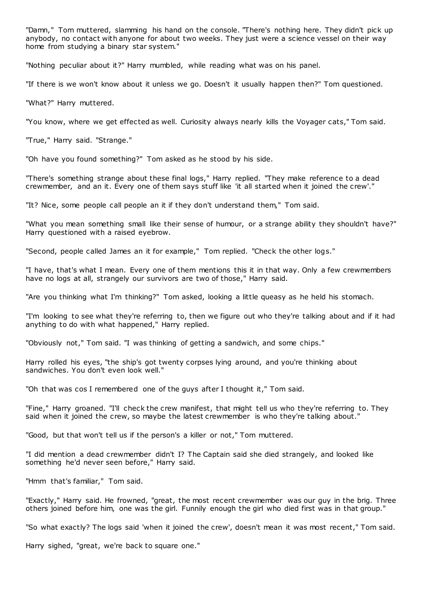"Damn," Tom muttered, slamming his hand on the console. "There's nothing here. They didn't pick up anybody, no contact with anyone for about two weeks. They just were a science vessel on their way home from studying a binary star system."

"Nothing peculiar about it?" Harry mumbled, while reading what was on his panel.

"If there is we won't know about it unless we go. Doesn't it usually happen then?" Tom questioned.

"What?" Harry muttered.

"You know, where we get effected as well. Curiosity always nearly kills the Voyager cats," Tom said.

"True," Harry said. "Strange."

"Oh have you found something?" Tom asked as he stood by his side.

"There's something strange about these final logs," Harry replied. "They make reference to a dead crewmember, and an it. Every one of them says stuff like 'it all started when it joined the crew'."

"It? Nice, some people call people an it if they don't understand them," Tom said.

"What you mean something small like their sense of humour, or a strange ability they shouldn't have?" Harry questioned with a raised eyebrow.

"Second, people called James an it for example," Tom replied. "Check the other logs."

"I have, that's what I mean. Every one of them mentions this it in that way. Only a few crewmembers have no logs at all, strangely our survivors are two of those," Harry said.

"Are you thinking what I'm thinking?" Tom asked, looking a little queasy as he held his stomach.

"I'm looking to see what they're referring to, then we figure out who they're talking about and if it had anything to do with what happened," Harry replied.

"Obviously not," Tom said. "I was thinking of getting a sandwich, and some chips."

Harry rolled his eyes, "the ship's got twenty corpses lying around, and you're thinking about sandwiches. You don't even look well."

"Oh that was cos I remembered one of the guys after I thought it," Tom said.

"Fine," Harry groaned. "I'll check the crew manifest, that might tell us who they're referring to. They said when it joined the crew, so maybe the latest crewmember is who they're talking about."

"Good, but that won't tell us if the person's a killer or not," Tom muttered.

"I did mention a dead crewmember didn't I? The Captain said she died strangely, and looked like something he'd never seen before," Harry said.

"Hmm that's familiar," Tom said.

"Exactly," Harry said. He frowned, "great, the most recent crewmember was our guy in the brig. Three others joined before him, one was the girl. Funnily enough the girl who died first was in that group."

"So what exactly? The logs said 'when it joined the crew', doesn't mean it was most recent," Tom said.

Harry sighed, "great, we're back to square one."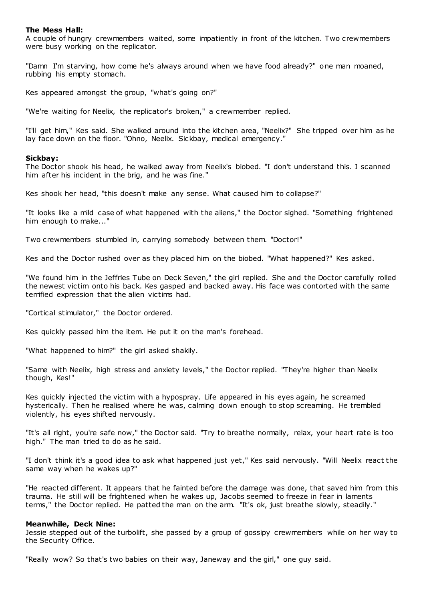# **The Mess Hall:**

A couple of hungry crewmembers waited, some impatiently in front of the kitchen. Two crewmembers were busy working on the replicator.

"Damn I'm starving, how come he's always around when we have food already?" one man moaned, rubbing his empty stomach.

Kes appeared amongst the group, "what's going on?"

"We're waiting for Neelix, the replicator's broken," a crewmember replied.

"I'll get him," Kes said. She walked around into the kitchen area, "Neelix?" She tripped over him as he lay face down on the floor. "Ohno, Neelix. Sickbay, medical emergency."

# **Sickbay:**

The Doctor shook his head, he walked away from Neelix's biobed. "I don't understand this. I scanned him after his incident in the brig, and he was fine."

Kes shook her head, "this doesn't make any sense. What caused him to collapse?"

"It looks like a mild case of what happened with the aliens," the Doctor sighed. "Something frightened him enough to make..."

Two crewmembers stumbled in, carrying somebody between them. "Doctor!"

Kes and the Doctor rushed over as they placed him on the biobed. "What happened?" Kes asked.

"We found him in the Jeffries Tube on Deck Seven," the girl replied. She and the Doctor carefully rolled the newest victim onto his back. Kes gasped and backed away. His face was contorted with the same terrified expression that the alien victims had.

"Cortical stimulator," the Doctor ordered.

Kes quickly passed him the item. He put it on the man's forehead.

"What happened to him?" the girl asked shakily.

"Same with Neelix, high stress and anxiety levels," the Doctor replied. "They're higher than Neelix though, Kes!"

Kes quickly injected the victim with a hypospray. Life appeared in his eyes again, he screamed hysterically. Then he realised where he was, calming down enough to stop screaming. He trembled violently, his eyes shifted nervously.

"It's all right, you're safe now," the Doctor said. "Try to breathe normally, relax, your heart rate is too high." The man tried to do as he said.

"I don't think it's a good idea to ask what happened just yet," Kes said nervously. "Will Neelix react the same way when he wakes up?"

"He reacted different. It appears that he fainted before the damage was done, that saved him from this trauma. He still will be frightened when he wakes up, Jacobs seemed to freeze in fear in laments terms," the Doctor replied. He patted the man on the arm. "It's ok, just breathe slowly, steadily."

# **Meanwhile, Deck Nine:**

Jessie stepped out of the turbolift, she passed by a group of gossipy crewmembers while on her way to the Security Office.

"Really wow? So that's two babies on their way, Janeway and the girl," one guy said.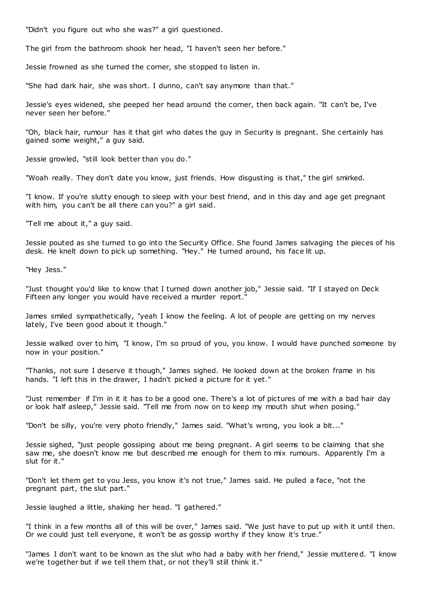"Didn't you figure out who she was?" a girl questioned.

The girl from the bathroom shook her head, "I haven't seen her before."

Jessie frowned as she turned the corner, she stopped to listen in.

"She had dark hair, she was short. I dunno, can't say anymore than that."

Jessie's eyes widened, she peeped her head around the corner, then back again. "It can't be, I've never seen her before."

"Oh, black hair, rumour has it that girl who dates the guy in Security is pregnant. She certainly has gained some weight," a guy said.

Jessie growled, "still look better than you do."

"Woah really. They don't date you know, just friends. How disgusting is that," the girl smirked.

"I know. If you're slutty enough to sleep with your best friend, and in this day and age get pregnant with him, you can't be all there can you?" a girl said.

"Tell me about it," a guy said.

Jessie pouted as she turned to go into the Security Office. She found James salvaging the pieces of his desk. He knelt down to pick up something. "Hey." He turned around, his face lit up.

"Hey Jess."

"Just thought you'd like to know that I turned down another job," Jessie said. "If I stayed on Deck Fifteen any longer you would have received a murder report.

James smiled sympathetically, "yeah I know the feeling. A lot of people are getting on my nerves lately, I've been good about it though."

Jessie walked over to him, "I know, I'm so proud of you, you know. I would have punched someone by now in your position."

"Thanks, not sure I deserve it though," James sighed. He looked down at the broken frame in his hands. "I left this in the drawer, I hadn't picked a picture for it yet."

"Just remember if I'm in it it has to be a good one. There's a lot of pictures of me with a bad hair day or look half asleep," Jessie said. "Tell me from now on to keep my mouth shut when posing."

"Don't be silly, you're very photo friendly," James said. "What's wrong, you look a bit..."

Jessie sighed, "just people gossiping about me being pregnant. A girl seems to be claiming that she saw me, she doesn't know me but described me enough for them to mix rumours. Apparently I'm a slut for it."

"Don't let them get to you Jess, you know it's not true," James said. He pulled a face, "not the pregnant part, the slut part."

Jessie laughed a little, shaking her head. "I gathered."

"I think in a few months all of this will be over," James said. "We just have to put up with it until then. Or we could just tell everyone, it won't be as gossip worthy if they know it's true."

"James I don't want to be known as the slut who had a baby with her friend," Jessie muttered. "I know we're together but if we tell them that, or not they'll still think it."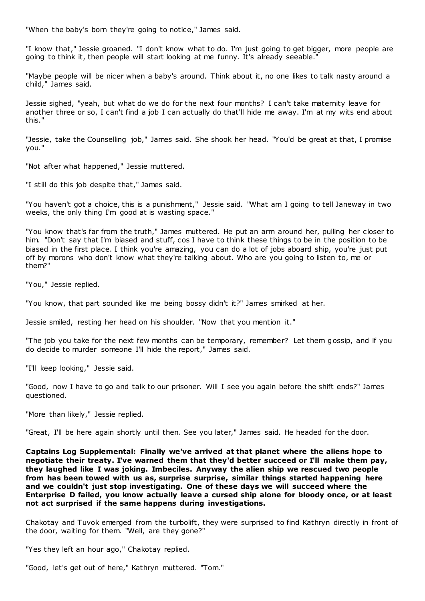"When the baby's born they're going to notice," James said.

"I know that," Jessie groaned. "I don't know what to do. I'm just going to get bigger, more people are going to think it, then people will start looking at me funny. It's already seeable."

"Maybe people will be nicer when a baby's around. Think about it, no one likes to talk nasty around a child," James said.

Jessie sighed, "yeah, but what do we do for the next four months? I can't take maternity leave for another three or so, I can't find a job I can actually do that'll hide me away. I'm at my wits end about this."

"Jessie, take the Counselling job," James said. She shook her head. "You'd be great at that, I promise you."

"Not after what happened," Jessie muttered.

"I still do this job despite that," James said.

"You haven't got a choice, this is a punishment," Jessie said. "What am I going to tell Janeway in two weeks, the only thing I'm good at is wasting space."

"You know that's far from the truth," James muttered. He put an arm around her, pulling her closer to him. "Don't say that I'm biased and stuff, cos I have to think these things to be in the position to be biased in the first place. I think you're amazing, you can do a lot of jobs aboard ship, you're just put off by morons who don't know what they're talking about. Who are you going to listen to, me or them?"

"You," Jessie replied.

"You know, that part sounded like me being bossy didn't it?" James smirked at her.

Jessie smiled, resting her head on his shoulder. "Now that you mention it."

"The job you take for the next few months can be temporary, remember? Let them gossip, and if you do decide to murder someone I'll hide the report," James said.

"I'll keep looking," Jessie said.

"Good, now I have to go and talk to our prisoner. Will I see you again before the shift ends?" James questioned.

"More than likely," Jessie replied.

"Great, I'll be here again shortly until then. See you later," James said. He headed for the door.

**Captains Log Supplemental: Finally we've arrived at that planet where the aliens hope to negotiate their treaty. I've warned them that they'd better succeed or I'll make them pay, they laughed like I was joking. Imbeciles. Anyway the alien ship we rescued two people from has been towed with us as, surprise surprise, similar things started happening here and we couldn't just stop investigating. One of these days we will succeed where the Enterprise D failed, you know actually leave a cursed ship alone for bloody once, or at least not act surprised if the same happens during investigations.**

Chakotay and Tuvok emerged from the turbolift, they were surprised to find Kathryn directly in front of the door, waiting for them. "Well, are they gone?"

"Yes they left an hour ago," Chakotay replied.

"Good, let's get out of here," Kathryn muttered. "Tom."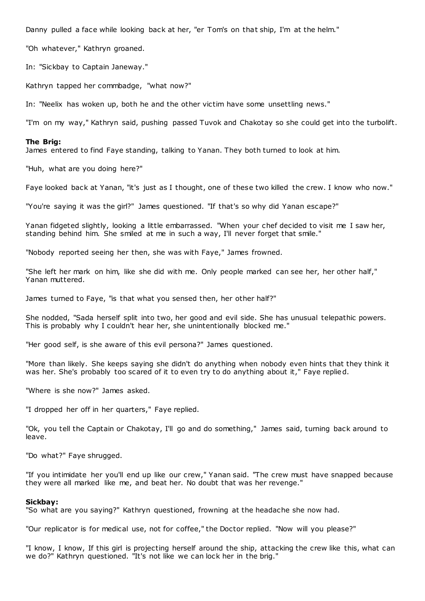Danny pulled a face while looking back at her, "er Tom's on that ship, I'm at the helm."

"Oh whatever," Kathryn groaned.

In: "Sickbay to Captain Janeway."

Kathryn tapped her commbadge, "what now?"

In: "Neelix has woken up, both he and the other victim have some unsettling news."

"I'm on my way," Kathryn said, pushing passed Tuvok and Chakotay so she could get into the turbolift.

#### **The Brig:**

James entered to find Faye standing, talking to Yanan. They both turned to look at him.

"Huh, what are you doing here?"

Faye looked back at Yanan, "it's just as I thought, one of these two killed the crew. I know who now."

"You're saying it was the girl?" James questioned. "If that's so why did Yanan escape?"

Yanan fidgeted slightly, looking a little embarrassed. "When your chef decided to visit me I saw her, standing behind him. She smiled at me in such a way, I'll never forget that smile."

"Nobody reported seeing her then, she was with Faye," James frowned.

"She left her mark on him, like she did with me. Only people marked can see her, her other half," Yanan muttered.

James turned to Faye, "is that what you sensed then, her other half?"

She nodded, "Sada herself split into two, her good and evil side. She has unusual telepathic powers. This is probably why I couldn't hear her, she unintentionally blocked me."

"Her good self, is she aware of this evil persona?" James questioned.

"More than likely. She keeps saying she didn't do anything when nobody even hints that they think it was her. She's probably too scared of it to even try to do anything about it," Faye replied.

"Where is she now?" James asked.

"I dropped her off in her quarters," Faye replied.

"Ok, you tell the Captain or Chakotay, I'll go and do something," James said, turning back around to leave.

"Do what?" Faye shrugged.

"If you intimidate her you'll end up like our crew," Yanan said. "The crew must have snapped because they were all marked like me, and beat her. No doubt that was her revenge."

#### **Sickbay:**

"So what are you saying?" Kathryn questioned, frowning at the headache she now had.

"Our replicator is for medical use, not for coffee," the Doctor replied. "Now will you please?"

"I know, I know, If this girl is projecting herself around the ship, attacking the crew like this, what can we do?" Kathryn questioned. "It's not like we can lock her in the brig."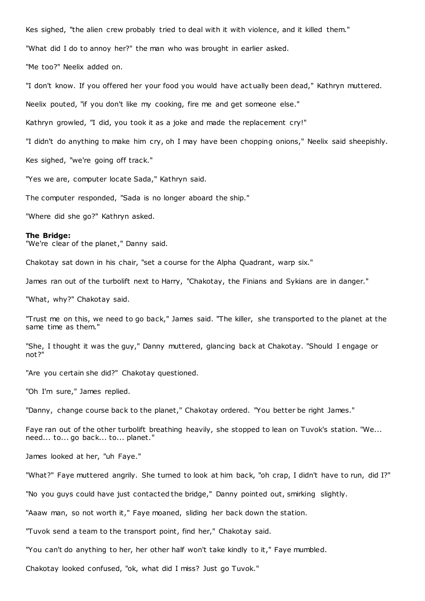Kes sighed, "the alien crew probably tried to deal with it with violence, and it killed them."

"What did I do to annoy her?" the man who was brought in earlier asked.

"Me too?" Neelix added on.

"I don't know. If you offered her your food you would have actually been dead," Kathryn muttered.

Neelix pouted, "if you don't like my cooking, fire me and get someone else."

Kathryn growled, "I did, you took it as a joke and made the replacement cry!"

"I didn't do anything to make him cry, oh I may have been chopping onions," Neelix said sheepishly.

Kes sighed, "we're going off track."

"Yes we are, computer locate Sada," Kathryn said.

The computer responded, "Sada is no longer aboard the ship."

"Where did she go?" Kathryn asked.

#### **The Bridge:**

"We're clear of the planet," Danny said.

Chakotay sat down in his chair, "set a course for the Alpha Quadrant, warp six."

James ran out of the turbolift next to Harry, "Chakotay, the Finians and Sykians are in danger."

"What, why?" Chakotay said.

"Trust me on this, we need to go back," James said. "The killer, she transported to the planet at the same time as them."

"She, I thought it was the guy," Danny muttered, glancing back at Chakotay. "Should I engage or not?"

"Are you certain she did?" Chakotay questioned.

"Oh I'm sure," James replied.

"Danny, change course back to the planet," Chakotay ordered. "You better be right James."

Faye ran out of the other turbolift breathing heavily, she stopped to lean on Tuvok's station. "We... need... to... go back... to... planet."

James looked at her, "uh Faye."

"What?" Faye muttered angrily. She turned to look at him back, "oh crap, I didn't have to run, did I?"

"No you guys could have just contacted the bridge," Danny pointed out, smirking slightly.

"Aaaw man, so not worth it," Faye moaned, sliding her back down the station.

"Tuvok send a team to the transport point, find her," Chakotay said.

"You can't do anything to her, her other half won't take kindly to it," Faye mumbled.

Chakotay looked confused, "ok, what did I miss? Just go Tuvok."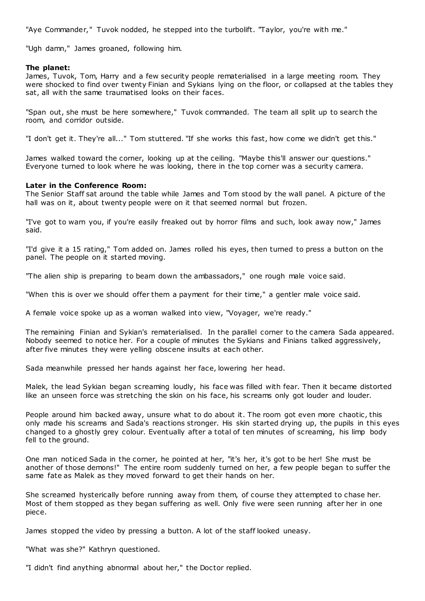"Aye Commander," Tuvok nodded, he stepped into the turbolift. "Taylor, you're with me."

"Ugh damn," James groaned, following him.

### **The planet:**

James, Tuvok, Tom, Harry and a few security people rematerialised in a large meeting room. They were shocked to find over twenty Finian and Sykians lying on the floor, or collapsed at the tables they sat, all with the same traumatised looks on their faces.

"Span out, she must be here somewhere," Tuvok commanded. The team all split up to search the room, and corridor outside.

"I don't get it. They're all..." Tom stuttered. "If she works this fast, how come we didn't get this."

James walked toward the corner, looking up at the ceiling. "Maybe this'll answer our questions." Everyone turned to look where he was looking, there in the top corner was a security camera.

# **Later in the Conference Room:**

The Senior Staff sat around the table while James and Tom stood by the wall panel. A picture of the hall was on it, about twenty people were on it that seemed normal but frozen.

"I've got to warn you, if you're easily freaked out by horror films and such, look away now," James said.

"I'd give it a 15 rating," Tom added on. James rolled his eyes, then turned to press a button on the panel. The people on it started moving.

"The alien ship is preparing to beam down the ambassadors," one rough male voice said.

"When this is over we should offer them a payment for their time," a gentler male voice said.

A female voice spoke up as a woman walked into view, "Voyager, we're ready."

The remaining Finian and Sykian's rematerialised. In the parallel corner to the camera Sada appeared. Nobody seemed to notice her. For a couple of minutes the Sykians and Finians talked aggressively, after five minutes they were yelling obscene insults at each other.

Sada meanwhile pressed her hands against her face, lowering her head.

Malek, the lead Sykian began screaming loudly, his face was filled with fear. Then it became distorted like an unseen force was stretching the skin on his face, his screams only got louder and louder.

People around him backed away, unsure what to do about it. The room got even more chaotic, this only made his screams and Sada's reactions stronger. His skin started drying up, the pupils in this eyes changed to a ghostly grey colour. Eventually after a total of ten minutes of screaming, his limp body fell to the ground.

One man noticed Sada in the corner, he pointed at her, "it's her, it's got to be her! She must be another of those demons!" The entire room suddenly turned on her, a few people began to suffer the same fate as Malek as they moved forward to get their hands on her.

She screamed hysterically before running away from them, of course they attempted to chase her. Most of them stopped as they began suffering as well. Only five were seen running after her in one piece.

James stopped the video by pressing a button. A lot of the staff looked uneasy.

"What was she?" Kathryn questioned.

"I didn't find anything abnormal about her," the Doctor replied.